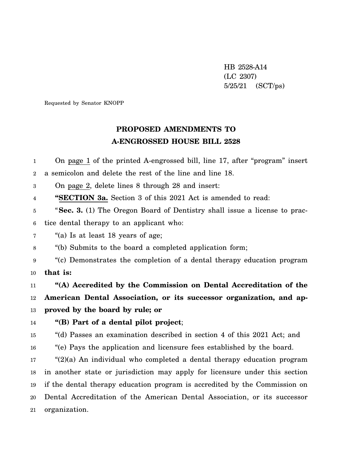HB 2528-A14 (LC 2307) 5/25/21 (SCT/ps)

Requested by Senator KNOPP

## **PROPOSED AMENDMENTS TO A-ENGROSSED HOUSE BILL 2528**

1 2 3 4 5 6 7 8 9 10 11 12 13 14 15 16 17 18 19 20 21 On page 1 of the printed A-engrossed bill, line 17, after "program" insert a semicolon and delete the rest of the line and line 18. On page 2, delete lines 8 through 28 and insert: **"SECTION 3a.** Section 3 of this 2021 Act is amended to read: "**Sec. 3.** (1) The Oregon Board of Dentistry shall issue a license to practice dental therapy to an applicant who: "(a) Is at least 18 years of age; "(b) Submits to the board a completed application form; "(c) Demonstrates the completion of a dental therapy education program **that is: "(A) Accredited by the Commission on Dental Accreditation of the American Dental Association, or its successor organization, and approved by the board by rule; or "(B) Part of a dental pilot project**; "(d) Passes an examination described in section 4 of this 2021 Act; and "(e) Pays the application and licensure fees established by the board. " $(2)(a)$  An individual who completed a dental therapy education program in another state or jurisdiction may apply for licensure under this section if the dental therapy education program is accredited by the Commission on Dental Accreditation of the American Dental Association, or its successor organization.